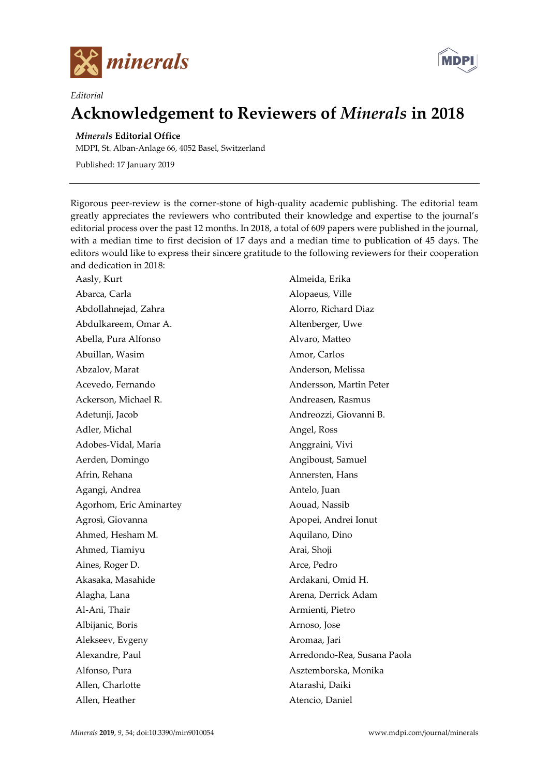

*Editorial*



## **Acknowledgement to Reviewers of** *Minerals* **in 2018**

## *Minerals* **Editorial Office**

MDPI, St. Alban-Anlage 66, 4052 Basel, Switzerland

Published: 17 January 2019

Rigorous peer-review is the corner-stone of high-quality academic publishing. The editorial team greatly appreciates the reviewers who contributed their knowledge and expertise to the journal's editorial process over the past 12 months. In 2018, a total of 609 papers were published in the journal, with a median time to first decision of 17 days and a median time to publication of 45 days. The editors would like to express their sincere gratitude to the following reviewers for their cooperation and dedication in 2018:

Aasly, Kurt Abarca, Carla Abdollahnejad, Zahra Abdulkareem, Omar A. Abella, Pura Alfonso Abuillan, Wasim Abzalov, Marat Acevedo, Fernando Ackerson, Michael R. Adetunji, Jacob Adler, Michal Adobes-Vidal, Maria Aerden, Domingo Afrin, Rehana Agangi, Andrea Agorhom, Eric Aminartey Agrosì, Giovanna Ahmed, Hesham M. Ahmed, Tiamiyu Aines, Roger D. Akasaka, Masahide Alagha, Lana Al-Ani, Thair Albijanic, Boris Alekseev, Evgeny Alexandre, Paul Alfonso, Pura Allen, Charlotte Allen, Heather

Almeida, Erika Alopaeus, Ville Alorro, Richard Diaz Altenberger, Uwe Alvaro, Matteo Amor, Carlos Anderson, Melissa Andersson, Martin Peter Andreasen, Rasmus Andreozzi, Giovanni B. Angel, Ross Anggraini, Vivi Angiboust, Samuel Annersten, Hans Antelo, Juan Aouad, Nassib Apopei, Andrei Ionut Aquilano, Dino Arai, Shoji Arce, Pedro Ardakani, Omid H. Arena, Derrick Adam Armienti, Pietro Arnoso, Jose Aromaa, Jari Arredondo-Rea, Susana Paola Asztemborska, Monika Atarashi, Daiki Atencio, Daniel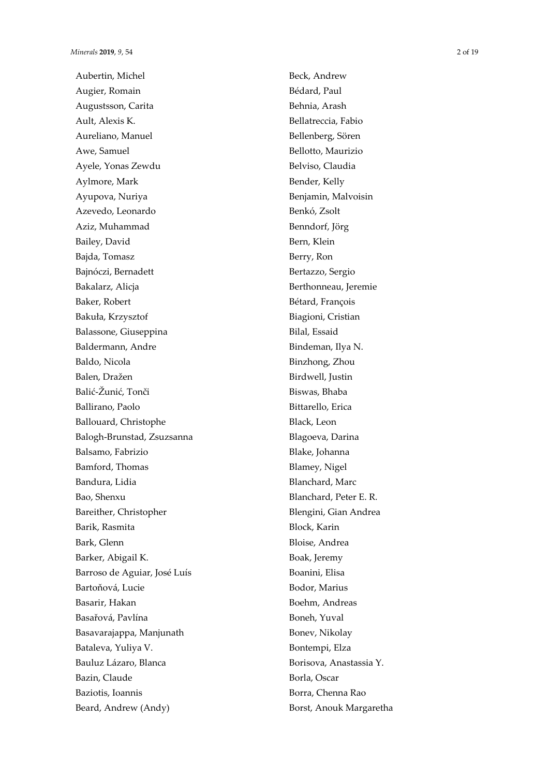Aubertin, Michel Augier, Romain Augustsson, Carita Ault, Alexis K. Aureliano, Manuel Awe, Samuel Ayele, Yonas Zewdu Aylmore, Mark Ayupova, Nuriya Azevedo, Leonardo Aziz, Muhammad Bailey, David Bajda, Tomasz Bajnóczi, Bernadett Bakalarz, Alicja Baker, Robert Bakuła, Krzysztof Balassone, Giuseppina Baldermann, Andre Baldo, Nicola Balen, Dražen Balić-Žunić, Tonči Ballirano, Paolo Ballouard, Christophe Balogh-Brunstad, Zsuzsanna Balsamo, Fabrizio Bamford, Thomas Bandura, Lidia Bao, Shenxu Bareither, Christopher Barik, Rasmita Bark, Glenn Barker, Abigail K. Barroso de Aguiar, José Luís Bartoňová, Lucie Basarir, Hakan Basařová, Pavlína Basavarajappa, Manjunath Bataleva, Yuliya V. Bauluz Lázaro, Blanca Bazin, Claude Baziotis, Ioannis Beard, Andrew (Andy)

Beck, Andrew Bédard, Paul Behnia, Arash Bellatreccia, Fabio Bellenberg, Sören Bellotto, Maurizio Belviso, Claudia Bender, Kelly Benjamin, Malvoisin Benkó, Zsolt Benndorf, Jörg Bern, Klein Berry, Ron Bertazzo, Sergio Berthonneau, Jeremie Bétard, François Biagioni, Cristian Bilal, Essaid Bindeman, Ilya N. Binzhong, Zhou Birdwell, Justin Biswas, Bhaba Bittarello, Erica Black, Leon Blagoeva, Darina Blake, Johanna Blamey, Nigel Blanchard, Marc Blanchard, Peter E. R. Blengini, Gian Andrea Block, Karin Bloise, Andrea Boak, Jeremy Boanini, Elisa Bodor, Marius Boehm, Andreas Boneh, Yuval Bonev, Nikolay Bontempi, Elza Borisova, Anastassia Y. Borla, Oscar Borra, Chenna Rao Borst, Anouk Margaretha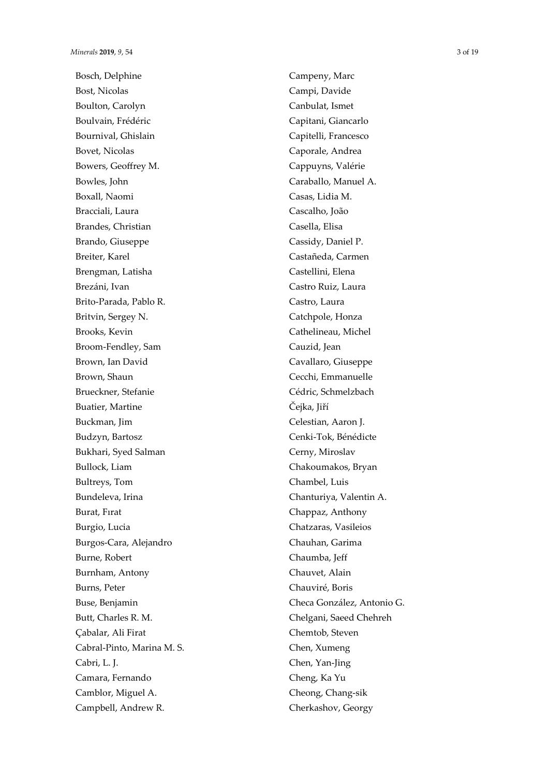Bosch, Delphine Bost, Nicolas Boulton, Carolyn Boulvain, Frédéric Bournival, Ghislain Bovet, Nicolas Bowers, Geoffrey M. Bowles, John Boxall, Naomi Bracciali, Laura Brandes, Christian Brando, Giuseppe Breiter, Karel Brengman, Latisha Brezáni, Ivan Brito-Parada, Pablo R. Britvin, Sergey N. Brooks, Kevin Broom-Fendley, Sam Brown, Ian David Brown, Shaun Brueckner, Stefanie Buatier, Martine Buckman, Jim Budzyn, Bartosz Bukhari, Syed Salman Bullock, Liam Bultreys, Tom Bundeleva, Irina Burat, Fırat Burgio, Lucia Burgos-Cara, Alejandro Burne, Robert Burnham, Antony Burns, Peter Buse, Benjamin Butt, Charles R. M. Cabalar, Ali Firat Cabral-Pinto, Marina M. S. Cabri, L. J. Camara, Fernando Camblor, Miguel A. Campbell, Andrew R.

Campeny, Marc Campi, Davide Canbulat, Ismet Capitani, Giancarlo Capitelli, Francesco Caporale, Andrea Cappuyns, Valérie Caraballo, Manuel A. Casas, Lidia M. Cascalho, João Casella, Elisa Cassidy, Daniel P. Castañeda, Carmen Castellini, Elena Castro Ruiz, Laura Castro, Laura Catchpole, Honza Cathelineau, Michel Cauzid, Jean Cavallaro, Giuseppe Cecchi, Emmanuelle Cédric, Schmelzbach Čejka, Jiří Celestian, Aaron J. Cenki-Tok, Bénédicte Cerny, Miroslav Chakoumakos, Bryan Chambel, Luis Chanturiya, Valentin A. Chappaz, Anthony Chatzaras, Vasileios Chauhan, Garima Chaumba, Jeff Chauvet, Alain Chauviré, Boris Checa González, Antonio G. Chelgani, Saeed Chehreh Chemtob, Steven Chen, Xumeng Chen, Yan-Jing Cheng, Ka Yu Cheong, Chang-sik Cherkashov, Georgy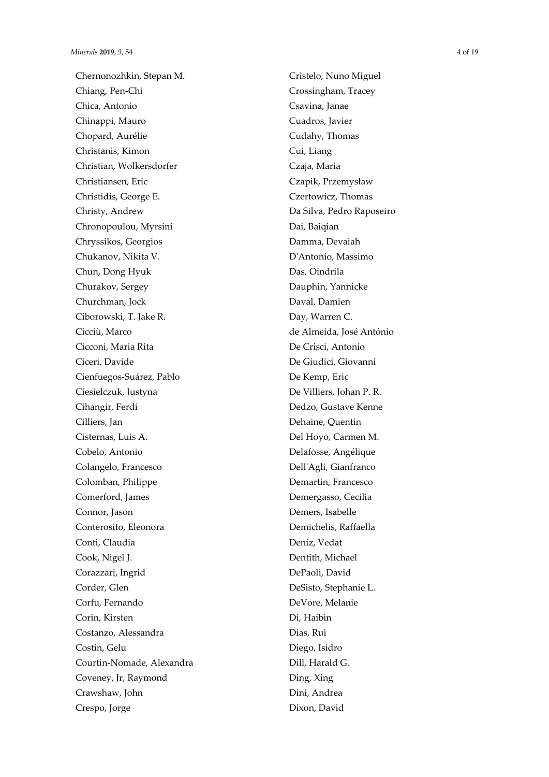Chernonozhkin, Stepan M. Chiang, Pen-Chi Chica, Antonio Chinappi, Mauro Chopard, Aurélie Christanis, Kimon Christian, Wolkersdorfer Christiansen, Eric Christidis, George E. Christy, Andrew Chronopoulou, Myrsini Chryssikos, Georgios Chukanov, Nikita V. Chun, Dong Hyuk Churakov, Sergey Churchman, Jock Ciborowski, T. Jake R. Cicciù, Marco Cicconi, Maria Rita Ciceri, Davide Cienfuegos-Suárez, Pablo Ciesielczuk, Justyna Cihangir, Ferdi Cilliers, Jan Cisternas, Luis A. Cobelo, Antonio Colangelo, Francesco Colomban, Philippe Comerford, James Connor, Jason Conterosito, Eleonora Conti, Claudia Cook, Nigel J. Corazzari, Ingrid Corder, Glen Corfu, Fernando Corin, Kirsten Costanzo, Alessandra Costin, Gelu Courtin-Nomade, Alexandra Coveney, Jr, Raymond Crawshaw, John Crespo, Jorge

Cristelo, Nuno Miguel Crossingham, Tracey Csavina, Janae Cuadros, Javier Cudahy, Thomas Cui, Liang Czaja, Maria Czapik, Przemysław Czertowicz, Thomas Da Silva, Pedro Raposeiro Dai, Baiqian Damma, Devaiah D'Antonio, Massimo Das, Oindrila Dauphin, Yannicke Daval, Damien Day, Warren C. de Almeida, José António De Crisci, Antonio De Giudici, Giovanni De Kemp, Eric De Villiers, Johan P. R. Dedzo, Gustave Kenne Dehaine, Quentin Del Hoyo, Carmen M. Delafosse, Angélique Dell'Agli, Gianfranco Demartin, Francesco Demergasso, Cecilia Demers, Isabelle Demichelis, Raffaella Deniz, Vedat Dentith, Michael DePaoli, David DeSisto, Stephanie L. DeVore, Melanie Di, Haibin Dias, Rui Diego, Isidro Dill, Harald G. Ding, Xing Dini, Andrea Dixon, David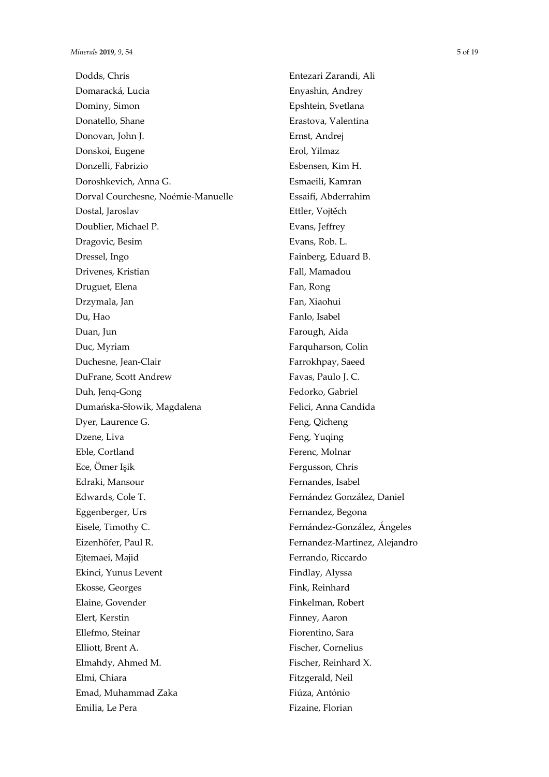Dodds, Chris Domaracká, Lucia Dominy, Simon Donatello, Shane Donovan, John J. Donskoi, Eugene Donzelli, Fabrizio Doroshkevich, Anna G. Dorval Courchesne, Noémie-Manuelle Dostal, Jaroslav Doublier, Michael P. Dragovic, Besim Dressel, Ingo Drivenes, Kristian Druguet, Elena Drzymala, Jan Du, Hao Duan, Jun Duc, Myriam Duchesne, Jean-Clair DuFrane, Scott Andrew Duh, Jenq-Gong Dumańska-Słowik, Magdalena Dyer, Laurence G. Dzene, Liva Eble, Cortland Ece, Ömer Işik Edraki, Mansour Edwards, Cole T. Eggenberger, Urs Eisele, Timothy C. Eizenhöfer, Paul R. Ejtemaei, Majid Ekinci, Yunus Levent Ekosse, Georges Elaine, Govender Elert, Kerstin Ellefmo, Steinar Elliott, Brent A. Elmahdy, Ahmed M. Elmi, Chiara Emad, Muhammad Zaka Emilia, Le Pera

Entezari Zarandi, Ali Enyashin, Andrey Epshtein, Svetlana Erastova, Valentina Ernst, Andrej Erol, Yilmaz Esbensen, Kim H. Esmaeili, Kamran Essaifi, Abderrahim Ettler, Vojtěch Evans, Jeffrey Evans, Rob. L. Fainberg, Eduard B. Fall, Mamadou Fan, Rong Fan, Xiaohui Fanlo, Isabel Farough, Aida Farquharson, Colin Farrokhpay, Saeed Favas, Paulo J. C. Fedorko, Gabriel Felici, Anna Candida Feng, Qicheng Feng, Yuqing Ferenc, Molnar Fergusson, Chris Fernandes, Isabel Fernández González, Daniel Fernandez, Begona Fernández-González, Ángeles Fernandez-Martinez, Alejandro Ferrando, Riccardo Findlay, Alyssa Fink, Reinhard Finkelman, Robert Finney, Aaron Fiorentino, Sara Fischer, Cornelius Fischer, Reinhard X. Fitzgerald, Neil Fiúza, António Fizaine, Florian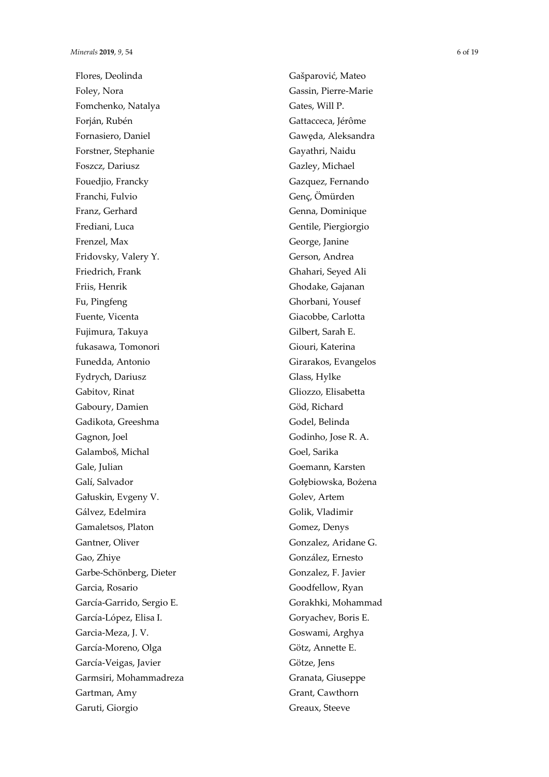Flores, Deolinda Foley, Nora Fomchenko, Natalya Forján, Rubén Fornasiero, Daniel Forstner, Stephanie Foszcz, Dariusz Fouedjio, Francky Franchi, Fulvio Franz, Gerhard Frediani, Luca Frenzel, Max Fridovsky, Valery Y. Friedrich, Frank Friis, Henrik Fu, Pingfeng Fuente, Vicenta Fujimura, Takuya fukasawa, Tomonori Funedda, Antonio Fydrych, Dariusz Gabitov, Rinat Gaboury, Damien Gadikota, Greeshma Gagnon, Joel Galamboš, Michal Gale, Julian Galí, Salvador Gałuskin, Evgeny V. Gálvez, Edelmira Gamaletsos, Platon Gantner, Oliver Gao, Zhiye Garbe -Schönberg, Dieter Garcia, Rosario García -Garrido, Sergio E. García -López, Elisa I. Garcia -Meza, J. V. García -Moreno, Olga García -Veigas, Javier Garmsiri, Mohammadreza Gartman, Amy Garuti, Giorgio

Gašparović, Mateo Gassin, Pierre -Marie Gates, Will P. Gattacceca, Jérôme Gawęda, Aleksandra Gayathri, Naidu Gazley, Michael Gazquez, Fernando Genç, Ömürden Genna, Dominique Gentile, Piergiorgio George, Janine Gerson, Andrea Ghahari, Seyed Ali Ghodake, Gajanan Ghorbani, Yousef Giacobbe, Carlotta Gilbert, Sarah E. Giouri, Katerina Girarakos, Evangelos Glass, Hylke Gliozzo, Elisabetta Göd, Richard Godel, Belinda Godinho, Jose R. A. Goel, Sarika Goemann, Karsten Gołębiowska, Bożena Golev, Artem Golik, Vladimir Gomez, Denys Gonzalez, Aridane G. González, Ernesto Gonzalez, F. Javier Goodfellow, Ryan Gorakhki, Mohammad Goryachev, Boris E. Goswami, Arghya Götz, Annette E. Götze, Jens Granata, Giuseppe Grant, Cawthorn Greaux, Steeve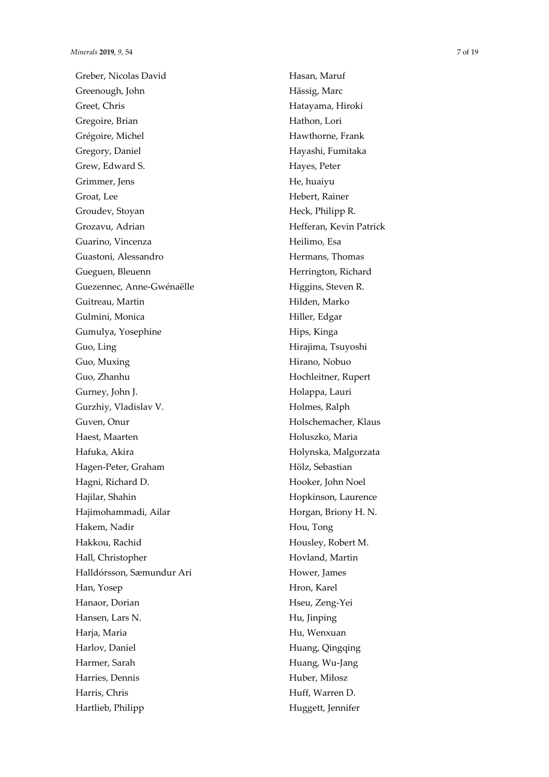Greber, Nicolas David Greenough, John Greet, Chris Gregoire, Brian Grégoire, Michel Gregory, Daniel Grew, Edward S. Grimmer, Jens Groat, Lee Groudev, Stoyan Grozavu, Adrian Guarino, Vincenza Guastoni, Alessandro Gueguen, Bleuenn Guezennec, Anne -Gwénaëlle Guitreau, Martin Gulmini, Monica Gumulya, Yosephine Guo, Ling Guo, Muxing Guo, Zhanhu Gurney, John J. Gurzhiy, Vladislav V. Guven, Onur Haest, Maarten Hafuka, Akira Hagen -Peter, Graham Hagni, Richard D. Hajilar, Shahin Hajimohammadi, Ailar Hakem, Nadir Hakkou, Rachid Hall, Christopher Halldórsson, Sæmundur Ari Han, Yosep Hanaor, Dorian Hansen, Lars N. Harja, Maria Harlov, Daniel Harmer, Sarah Harries, Dennis Harris, Chris Hartlieb, Philipp

Hasan, Maruf Hässig, Marc Hatayama, Hiroki Hathon, Lori Hawthorne, Frank Hayashi, Fumitaka Hayes, Peter He, huaiyu Hebert, Rainer Heck, Philipp R. Hefferan, Kevin Patrick Heilimo, Esa Hermans, Thomas Herrington, Richard Higgins, Steven R. Hilden, Marko Hiller, Edgar Hips, Kinga Hirajima, Tsuyoshi Hirano, Nobuo Hochleitner, Rupert Holappa, Lauri Holmes, Ralph Holschemacher, Klaus Holuszko, Maria Holynska, Malgorzata Hölz, Sebastian Hooker, John Noel Hopkinson, Laurence Horgan, Briony H. N. Hou, Tong Housley, Robert M. Hovland, Martin Hower, James Hron, Karel Hseu, Zeng -Yei Hu, Jinping Hu, Wenxuan Huang, Qingqing Huang, Wu -Jang Huber, Miłosz Huff, Warren D. Huggett, Jennifer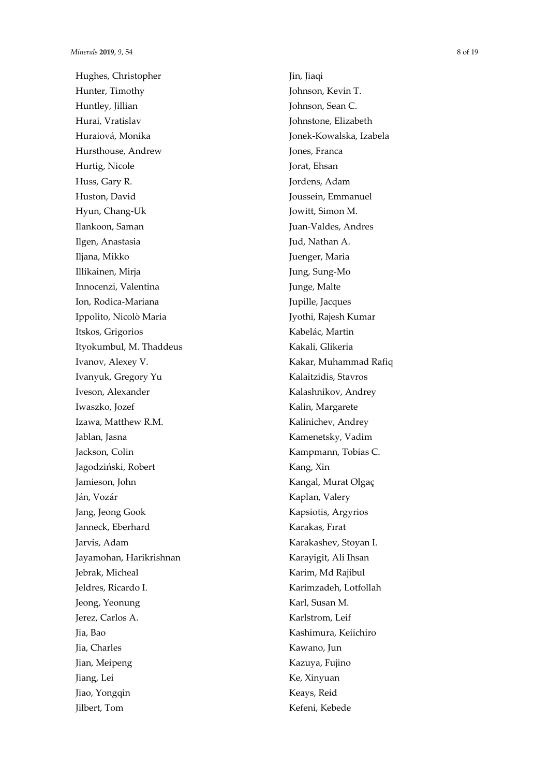Hughes, Christopher Hunter, Timothy Huntley, Jillian Hurai, Vratislav Huraiová, Monika Hursthouse, Andrew Hurtig, Nicole Huss, Gary R. Huston, David Hyun, Chang -Uk Ilankoon, Saman Ilgen, Anastasia Iljana, Mikko Illikainen, Mirja Innocenzi, Valentina Ion, Rodica -Mariana Ippolito, Nicolò Maria Itskos, Grigorios Ityokumbul, M. Thaddeus Ivanov, Alexey V. Ivanyuk, Gregory Yu Iveson, Alexander Iwaszko, Jozef Izawa, Matthew R.M. Jablan, Jasna Jackson, Colin Jagodziński, Robert Jamieson, John Ján, Vozár Jang, Jeong Gook Janneck, Eberhard Jarvis, Adam Jayamohan, Harikrishnan Jebrak, Micheal Jeldres, Ricardo I. Jeong, Yeonung Jerez, Carlos A. Jia, Bao Jia, Charles Jian, Meipeng Jiang, Lei Jiao, Yongqin Jilbert, Tom

Jin, Jiaqi Johnson, Kevin T. Johnson, Sean C. Johnstone, Elizabeth Jonek -Kowalska, Izabela Jones, Franca Jorat, Ehsan Jordens, Adam Joussein, Emmanuel Jowitt, Simon M. Juan -Valdes, Andres Jud, Nathan A. Juenger, Maria Jung, Sung -Mo Junge, Malte Jupille, Jacques Jyothi, Rajesh Kumar Kabelác, Martin Kakali, Glikeria Kakar, Muhammad Rafiq Kalaitzidis, Stavros Kalashnikov, Andrey Kalin, Margarete Kalinichev, Andrey Kamenetsky, Vadim Kampmann, Tobias C. Kang, Xin Kangal, Murat Olgaç Kaplan, Valery Kapsiotis, Argyrios Karakas, Fırat Karakashev, Stoyan I. Karayigit, Ali Ihsan Karim, Md Rajibul Karimzadeh, Lotfollah Karl, Susan M. Karlstrom, Leif Kashimura, Keiichiro Kawano, Jun Kazuya, Fujino Ke, Xinyuan Keays, Reid Kefeni, Kebede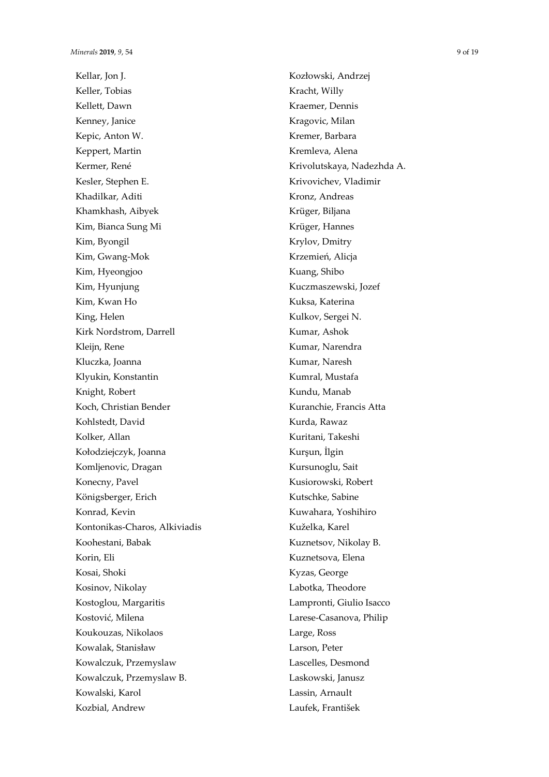Kellar, Jon J. Keller, Tobias Kellett, Dawn Kenney, Janice Kepic, Anton W. Keppert, Martin Kermer, René Kesler, Stephen E. Khadilkar, Aditi Khamkhash, Aibyek Kim, Bianca Sung Mi Kim, Byongil Kim, Gwang-Mok Kim, Hyeongjoo Kim, Hyunjung Kim, Kwan Ho King, Helen Kirk Nordstrom, Darrell Kleijn, Rene Kluczka, Joanna Klyukin, Konstantin Knight, Robert Koch, Christian Bender Kohlstedt, David Kolker, Allan Kołodziejczyk, Joanna Komljenovic, Dragan Konecny, Pavel Königsberger, Erich Konrad, Kevin Kontonikas-Charos, Alkiviadis Koohestani, Babak Korin, Eli Kosai, Shoki Kosinov, Nikolay Kostoglou, Margaritis Kostović, Milena Koukouzas, Nikolaos Kowalak, Stanisław Kowalczuk, Przemyslaw Kowalczuk, Przemyslaw B. Kowalski, Karol Kozbial, Andrew

Kozłowski, Andrzej Kracht, Willy Kraemer, Dennis Kragovic, Milan Kremer, Barbara Kremleva, Alena Krivolutskaya, Nadezhda A. Krivovichev, Vladimir Kronz, Andreas Krüger, Biljana Krüger, Hannes Krylov, Dmitry Krzemień, Alicja Kuang, Shibo Kuczmaszewski, Jozef Kuksa, Katerina Kulkov, Sergei N. Kumar, Ashok Kumar, Narendra Kumar, Naresh Kumral, Mustafa Kundu, Manab Kuranchie, Francis Atta Kurda, Rawaz Kuritani, Takeshi Kurşun, İlgin Kursunoglu, Sait Kusiorowski, Robert Kutschke, Sabine Kuwahara, Yoshihiro Kuželka, Karel Kuznetsov, Nikolay B. Kuznetsova, Elena Kyzas, George Labotka, Theodore Lampronti, Giulio Isacco Larese-Casanova, Philip Large, Ross Larson, Peter Lascelles, Desmond Laskowski, Janusz Lassin, Arnault Laufek, František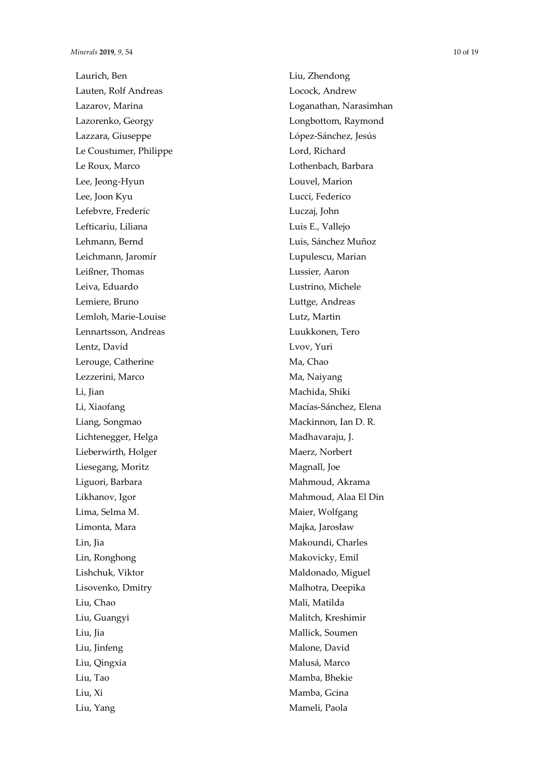Laurich, Ben Lauten, Rolf Andreas Lazarov, Marina Lazorenko, Georgy Lazzara, Giuseppe Le Coustumer, Philippe Le Roux, Marco Lee, Jeong -Hyun Lee, Joon Kyu Lefebvre, Frederic Lefticariu, Liliana Lehmann, Bernd Leichmann, Jaromír Leißner, Thomas Leiva, Eduardo Lemiere, Bruno Lemloh, Marie -Louise Lennartsson, Andreas Lentz, David Lerouge, Catherine Lezzerini, Marco Li, Jian Li, Xiaofang Liang, Songmao Lichtenegger, Helga Lieberwirth, Holger Liesegang, Moritz Liguori, Barbara Likhanov, Igor Lima, Selma M. Limonta, Mara Lin, Jia Lin, Ronghong Lishchuk, Viktor Lisovenko, Dmitry Liu, Chao Liu, Guangyi Liu, Jia Liu, Jinfeng Liu, Qingxia Liu, Tao Liu, Xi Liu, Yang

Liu, Zhendong Locock, Andrew Loganathan, Narasimhan Longbottom, Raymond López -Sánchez, Jesús Lord, Richard Lothenbach, Barbara Louvel, Marion Lucci, Federico Luczaj, John Luis E., Vallejo Luis, Sánchez Muñoz Lupulescu, Marian Lussier, Aaron Lustrino, Michele Luttge, Andreas Lutz, Martin Luukkonen, Tero Lvov, Yuri Ma, Chao Ma, Naiyang Machida, Shiki Macías -Sánchez, Elena Mackinnon, Ian D. R. Madhavaraju, J. Maerz, Norbert Magnall, Joe Mahmoud, Akrama Mahmoud, Alaa El Din Maier, Wolfgang Majka, Jarosław Makoundi, Charles Makovicky, Emil Maldonado, Miguel Malhotra, Deepika Mali, Matilda Malitch, Kreshimir Mallick, Soumen Malone, David Malusá, Marco Mamba, Bhekie Mamba, Gcina Mameli, Paola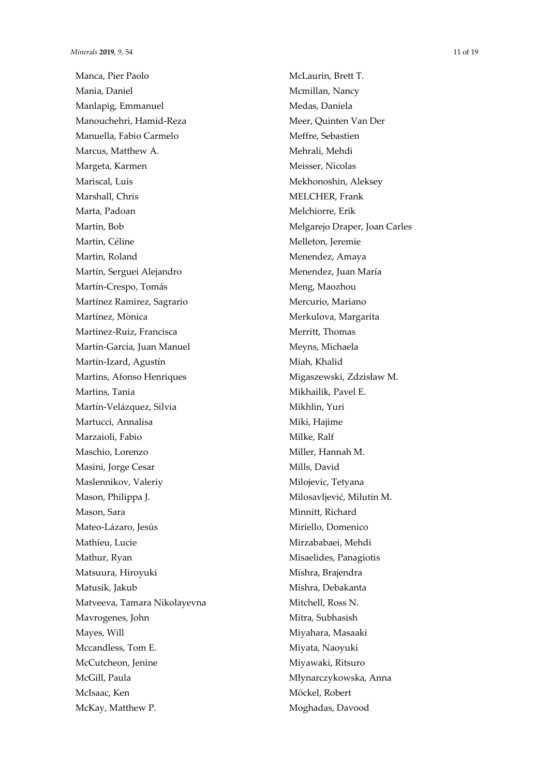Manca, Pier Paolo Mania, Daniel Manlapig, Emmanuel Manouchehri, Hamid-Reza Manuella, Fabio Carmelo Marcus, Matthew A. Margeta, Karmen Mariscal, Luis Marshall, Chris Marta, Padoan Martin, Bob Martin, Céline Martin, Roland Martín, Serguei Alejandro Martín-Crespo, Tomás Martínez Ramirez, Sagrario Martínez, Mònica Martinez-Ruiz, Francisca Martín-García, Juan Manuel Martín-Izard, Agustín Martins, Afonso Henriques Martins, Tania Martín-Velázquez, Silvia Martucci, Annalisa Marzaioli, Fabio Maschio, Lorenzo Masini, Jorge Cesar Maslennikov, Valeriy Mason, Philippa J. Mason, Sara Mateo-Lázaro, Jesús Mathieu, Lucie Mathur, Ryan Matsuura, Hiroyuki Matusik, Jakub Matveeva, Tamara Nikolayevna Mavrogenes, John Mayes, Will Mccandless, Tom E. McCutcheon, Jenine McGill, Paula McIsaac, Ken McKay, Matthew P.

McLaurin, Brett T. Mcmillan, Nancy Medas, Daniela Meer, Quinten Van Der Meffre, Sebastien Mehrali, Mehdi Meisser, Nicolas Mekhonoshin, Aleksey MELCHER, Frank Melchiorre, Erik Melgarejo Draper, Joan Carles Melleton, Jeremie Menendez, Amaya Menendez, Juan María Meng, Maozhou Mercurio, Mariano Merkulova, Margarita Merritt, Thomas Meyns, Michaela Miah, Khalid Migaszewski, Zdzisław M. Mikhailik, Pavel E. Mikhlin, Yuri Miki, Hajime Milke, Ralf Miller, Hannah M. Mills, David Milojevic, Tetyana Milosavljević, Milutin M. Minnitt, Richard Miriello, Domenico Mirzababaei, Mehdi Misaelides, Panagiotis Mishra, Brajendra Mishra, Debakanta Mitchell, Ross N. Mitra, Subhasish Miyahara, Masaaki Miyata, Naoyuki Miyawaki, Ritsuro Młynarczykowska, Anna Möckel, Robert Moghadas, Davood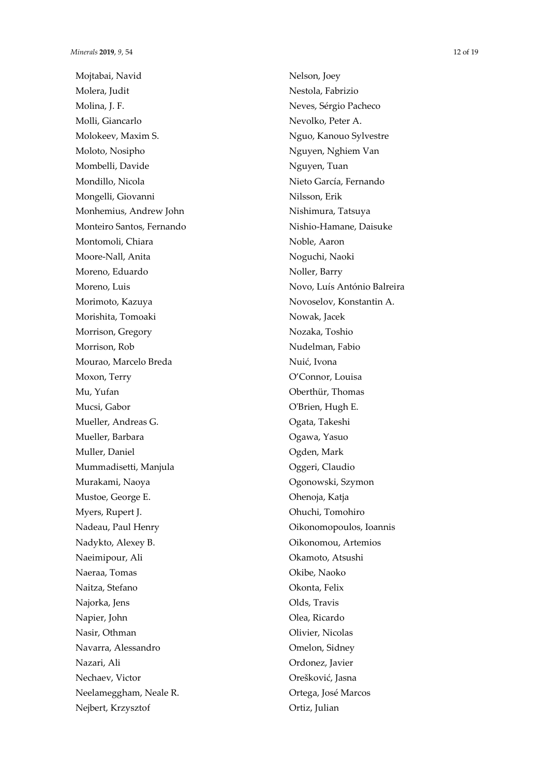Mojtabai, Navid Molera, Judit Molina, J. F. Molli, Giancarlo Molokeev, Maxim S. Moloto, Nosipho Mombelli, Davide Mondillo, Nicola Mongelli, Giovanni Monhemius, Andrew John Monteiro Santos, Fernando Montomoli, Chiara Moore-Nall, Anita Moreno, Eduardo Moreno, Luis Morimoto, Kazuya Morishita, Tomoaki Morrison, Gregory Morrison, Rob Mourao, Marcelo Breda Moxon, Terry Mu, Yufan Mucsi, Gabor Mueller, Andreas G. Mueller, Barbara Muller, Daniel Mummadisetti, Manjula Murakami, Naoya Mustoe, George E. Myers, Rupert J. Nadeau, Paul Henry Nadykto, Alexey B. Naeimipour, Ali Naeraa, Tomas Naitza, Stefano Najorka, Jens Napier, John Nasir, Othman Navarra, Alessandro Nazari, Ali Nechaev, Victor Neelameggham, Neale R. Nejbert, Krzysztof

Nelson, Joey Nestola, Fabrizio Neves, Sérgio Pacheco Nevolko, Peter A. Nguo, Kanouo Sylvestre Nguyen, Nghiem Van Nguyen, Tuan Nieto García, Fernando Nilsson, Erik Nishimura, Tatsuya Nishio-Hamane, Daisuke Noble, Aaron Noguchi, Naoki Noller, Barry Novo, Luís António Balreira Novoselov, Konstantin A. Nowak, Jacek Nozaka, Toshio Nudelman, Fabio Nuić, Ivona O'Connor, Louisa Oberthür, Thomas O'Brien, Hugh E. Ogata, Takeshi Ogawa, Yasuo Ogden, Mark Oggeri, Claudio Ogonowski, Szymon Ohenoja, Katja Ohuchi, Tomohiro Oikonomopoulos, Ioannis Oikonomou, Artemios Okamoto, Atsushi Okibe, Naoko Okonta, Felix Olds, Travis Olea, Ricardo Olivier, Nicolas Omelon, Sidney Ordonez, Javier Orešković, Jasna Ortega, José Marcos Ortiz, Julian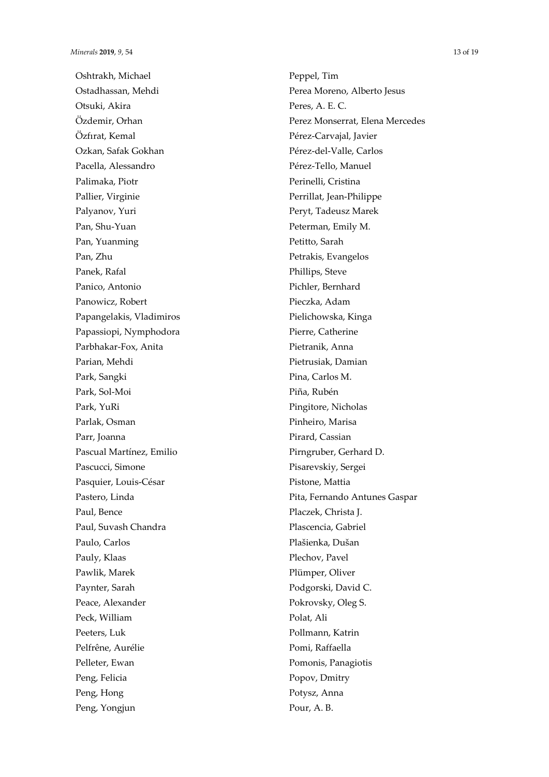Oshtrakh, Michael Ostadhassan, Mehdi Otsuki, Akira Ö zdemir, Orhan Özfırat, Kemal Ozkan, Safak Gokhan Pacella, Alessandro Palimaka, Piotr Pallier, Virginie Palyanov, Yuri Pan, Shu-Yuan Pan, Yuanming Pan, Zhu Panek, Rafal Panico, Antonio Panowicz, Robert Papangelakis, Vladimiros Papassiopi, Nymphodora Parbhakar-Fox, Anita Parian, Mehdi Park, Sangki Park, Sol-Moi Park, YuRi Parlak, Osman Parr, Joanna Pascual Martínez, Emilio Pascucci, Simone Pasquier, Louis-César Pastero, Linda Paul, Bence Paul, Suvash Chandra Paulo, Carlos Pauly, Klaas Pawlik, Marek Paynter, Sarah Peace, Alexander Peck, William Peeters, Luk Pelfrêne, Aurélie Pelleter, Ewan Peng, Felicia Peng, Hong Peng, Yongjun

Peppel, Tim Perea Moreno, Alberto Jesus Peres, A. E. C. Perez Monserrat, Elena Mercedes Pérez-Carvajal, Javier Pérez-del-Valle, Carlos Pérez-Tello, Manuel Perinelli, Cristina Perrillat, Jean-Philippe Peryt, Tadeusz Marek Peterman, Emily M. Petitto, Sarah Petrakis, Evangelos Phillips, Steve Pichler, Bernhard Pieczka, Adam Pielichowska, Kinga Pierre, Catherine Pietranik, Anna Pietrusiak, Damian Pina, Carlos M. Piña, Rubén Pingitore, Nicholas Pinheiro, Marisa Pirard, Cassian Pirngruber, Gerhard D. Pisarevskiy, Sergei Pistone, Mattia Pita, Fernando Antunes Gaspar Placzek, Christa J. Plascencia, Gabriel Plašienka, Dušan Plechov, Pavel Plümper, Oliver Podgorski, David C. Pokrovsky, Oleg S. Polat, Ali Pollmann, Katrin Pomi, Raffaella Pomonis, Panagiotis Popov, Dmitry Potysz, Anna Pour, A. B.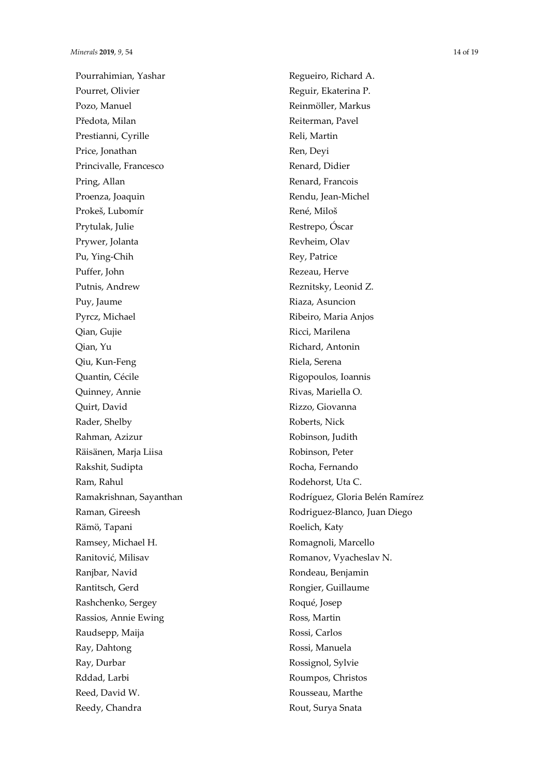Pourrahimian, Yashar Pourret, Olivier Pozo, Manuel Předota, Milan Prestianni, Cyrille Price, Jonathan Princivalle, Francesco Pring, Allan Proenza, Joaquin Prokeš, Lubomír Prytulak, Julie Prywer, Jolanta Pu, Ying-Chih Puffer, John Putnis, Andrew Puy, Jaume Pyrcz, Michael Qian, Gujie Qian, Yu Qiu, Kun-Feng Quantin, Cécile Quinney, Annie Quirt, David Rader, Shelby Rahman, Azizur Räisänen, Marja Liisa Rakshit, Sudipta Ram, Rahul Ramakrishnan, Sayanthan Raman, Gireesh Rämö, Tapani Ramsey, Michael H. Ranitović, Milisav Ranjbar, Navid Rantitsch, Gerd Rashchenko, Sergey Rassios, Annie Ewing Raudsepp, Maija Ray, Dahtong Ray, Durbar Rddad, Larbi Reed, David W. Reedy, Chandra

Regueiro, Richard A. Reguir, Ekaterina P. Reinmöller, Markus Reiterman, Pavel Reli, Martin Ren, Deyi Renard, Didier Renard, Francois Rendu, Jean-Michel René, Miloš Restrepo, Óscar Revheim, Olav Rey, Patrice Rezeau, Herve Reznitsky, Leonid Z. Riaza, Asuncion Ribeiro, Maria Anjos Ricci, Marilena Richard, Antonin Riela, Serena Rigopoulos, Ioannis Rivas, Mariella O. Rizzo, Giovanna Roberts, Nick Robinson, Judith Robinson, Peter Rocha, Fernando Rodehorst, Uta C. Rodríguez, Gloria Belén Ramírez Rodriguez-Blanco, Juan Diego Roelich, Katy Romagnoli, Marcello Romanov, Vyacheslav N. Rondeau, Benjamin Rongier, Guillaume Roqué, Josep Ross, Martin Rossi, Carlos Rossi, Manuela Rossignol, Sylvie Roumpos, Christos Rousseau, Marthe Rout, Surya Snata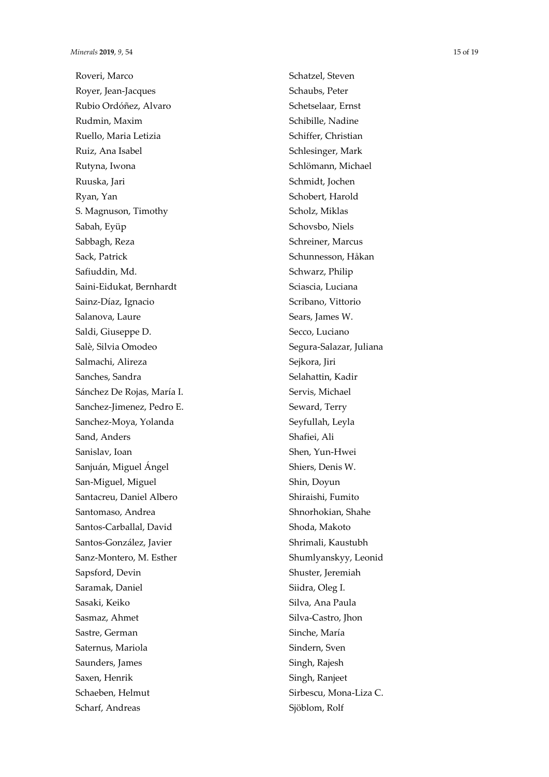Roveri, Marco Royer, Jean -Jacques Rubio Ordóñez, Alvaro Rudmin, Maxim Ruello, Maria Letizia Ruiz, Ana Isabel Rutyna, Iwona Ruuska, Jari Ryan, Yan S. Magnuson, Timothy Sabah, Eyüp Sabbagh, Reza Sack, Patrick Safiuddin, Md. Saini -Eidukat, Bernhardt Sainz -Díaz, Ignacio Salanova, Laure Saldi, Giuseppe D. Salè, Silvia Omodeo Salmachi, Alireza Sanches, Sandra Sánchez De Rojas, María I. Sanchez -Jimenez, Pedro E. Sanchez -Moya, Yolanda Sand, Anders Sanislav, Ioan Sanjuán, Miguel Á ngel San -Miguel, Miguel Santacreu, Daniel Albero Santomaso, Andrea Santos -Carballal, David Santos -González, Javier Sanz -Montero, M. Esther Sapsford, Devin Saramak, Daniel Sasaki, Keiko Sasmaz, Ahmet Sastre, German Saternus, Mariola Saunders, James Saxen, Henrik Schaeben, Helmut Scharf, Andreas

Schatzel, Steven Schaubs, Peter Schetselaar, Ernst Schibille, Nadine Schiffer, Christian Schlesinger, Mark Schlömann, Michael Schmidt, Jochen Schobert, Harold Scholz, Miklas Schovsbo, Niels Schreiner, Marcus Schunnesson, Håkan Schwarz, Philip Sciascia, Luciana Scribano, Vittorio Sears, James W. Secco, Luciano Segura -Salazar, Juliana Sejkora, Jiri Selahattin, Kadir Servis, Michael Seward, Terry Seyfullah, Leyla Shafiei, Ali Shen, Yun -Hwei Shiers, Denis W. Shin, Doyun Shiraishi, Fumito Shnorhokian, Shahe Shoda, Makoto Shrimali, Kaustubh Shumlyanskyy, Leonid Shuster, Jeremiah Siidra, Oleg I. Silva, Ana Paula Silva -Castro, Jhon Sinche, María Sindern, Sven Singh, Rajesh Singh, Ranjeet Sirbescu, Mona -Liza C.

Sjöblom, Rolf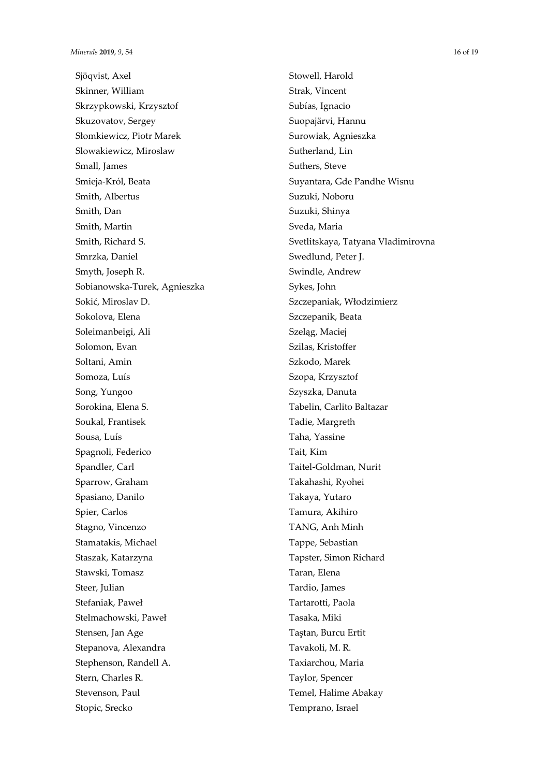Sjöqvist, Axel Skinner, William Skrzypkowski, Krzysztof Skuzovatov, Sergey Słomkiewicz, Piotr Marek Slowakiewicz, Miroslaw Small, James Smieja-Król, Beata Smith, Albertus Smith, Dan Smith, Martin Smith, Richard S. Smrzka, Daniel Smyth, Joseph R. Sobianowska-Turek, Agnieszka Sokić, Miroslav D. Sokolova, Elena Soleimanbeigi, Ali Solomon, Evan Soltani, Amin Somoza, Luís Song, Yungoo Sorokina, Elena S. Soukal, Frantisek Sousa, Luís Spagnoli, Federico Spandler, Carl Sparrow, Graham Spasiano, Danilo Spier, Carlos Stagno, Vincenzo Stamatakis, Michael Staszak, Katarzyna Stawski, Tomasz Steer, Julian Stefaniak, Paweł Stelmachowski, Paweł Stensen, Jan Age Stepanova, Alexandra Stephenson, Randell A. Stern, Charles R. Stevenson, Paul Stopic, Srecko

Stowell, Harold Strak, Vincent Subías, Ignacio Suopajärvi, Hannu Surowiak, Agnieszka Sutherland, Lin Suthers, Steve Suyantara, Gde Pandhe Wisnu Suzuki, Noboru Suzuki, Shinya Sveda, Maria Svetlitskaya, Tatyana Vladimirovna Swedlund, Peter J. Swindle, Andrew Sykes, John Szczepaniak, Włodzimierz Szczepanik, Beata Szeląg, Maciej Szilas, Kristoffer Szkodo, Marek Szopa, Krzysztof Szyszka, Danuta Tabelin, Carlito Baltazar Tadie, Margreth Taha, Yassine Tait, Kim Taitel-Goldman, Nurit Takahashi, Ryohei Takaya, Yutaro Tamura, Akihiro TANG, Anh Minh Tappe, Sebastian Tapster, Simon Richard Taran, Elena Tardio, James Tartarotti, Paola Tasaka, Miki Taştan, Burcu Ertit Tavakoli, M. R. Taxiarchou, Maria Taylor, Spencer Temel, Halime Abakay Temprano, Israel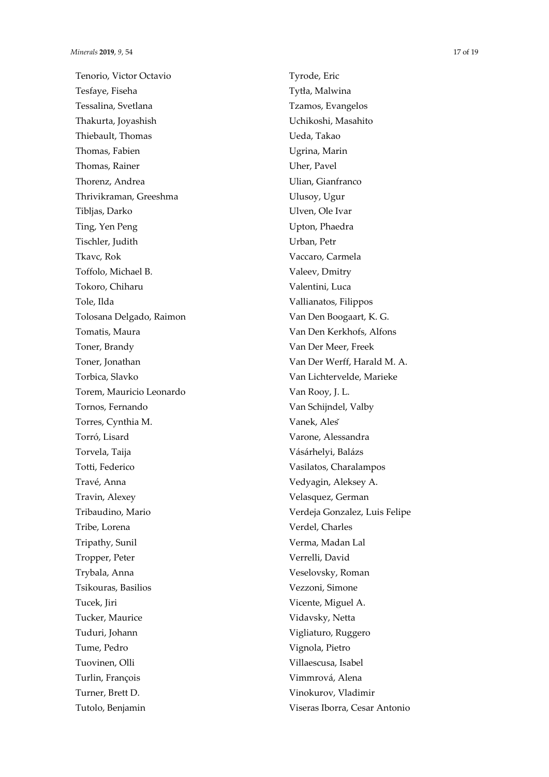Tenorio, Victor Octavio Tesfaye, Fiseha Tessalina, Svetlana Thakurta, Joyashish Thiebault, Thomas Thomas, Fabien Thomas, Rainer Thorenz, Andrea Thrivikraman, Greeshma Tibljas, Darko Ting, Yen Peng Tischler, Judith Tkavc, Rok Toffolo, Michael B. Tokoro, Chiharu Tole, Ilda Tolosana Delgado, Raimon Tomatis, Maura Toner, Brandy Toner, Jonathan Torbica, Slavko Torem, Mauricio Leonardo Tornos, Fernando Torres, Cynthia M. Torró, Lisard Torvela, Taija Totti, Federico Travé, Anna Travin, Alexey Tribaudino, Mario Tribe, Lorena Tripathy, Sunil Tropper, Peter Trybala, Anna Tsikouras, Basilios Tucek, Jiri Tucker, Maurice Tuduri, Johann Tume, Pedro Tuovinen, Olli Turlin, François Turner, Brett D. Tutolo, Benjamin

Tyrode, Eric Tytła, Malwina Tzamos, Evangelos Uchikoshi, Masahito Ueda, Takao Ugrina, Marin Uher, Pavel Ulian, Gianfranco Ulusoy, Ugur Ulven, Ole Ivar Upton, Phaedra Urban, Petr Vaccaro, Carmela Valeev, Dmitry Valentini, Luca Vallianatos, Filippos Van Den Boogaart, K. G. Van Den Kerkhofs, Alfons Van Der Meer, Freek Van Der Werff, Harald M. A. Van Lichtervelde, Marieke Van Rooy, J. L. Van Schijndel, Valby Vanek, Aleš Varone, Alessandra Vásárhelyi, Balázs Vasilatos, Charalampos Vedyagin, Aleksey A. Velasquez, German Verdeja Gonzalez, Luis Felipe Verdel, Charles Verma, Madan Lal Verrelli, David Veselovsky, Roman Vezzoni, Simone Vicente, Miguel A. Vidavsky, Netta Vigliaturo, Ruggero Vignola, Pietro Villaescusa, Isabel Vimmrová, Alena Vinokurov, Vladimir Viseras Iborra, Cesar Antonio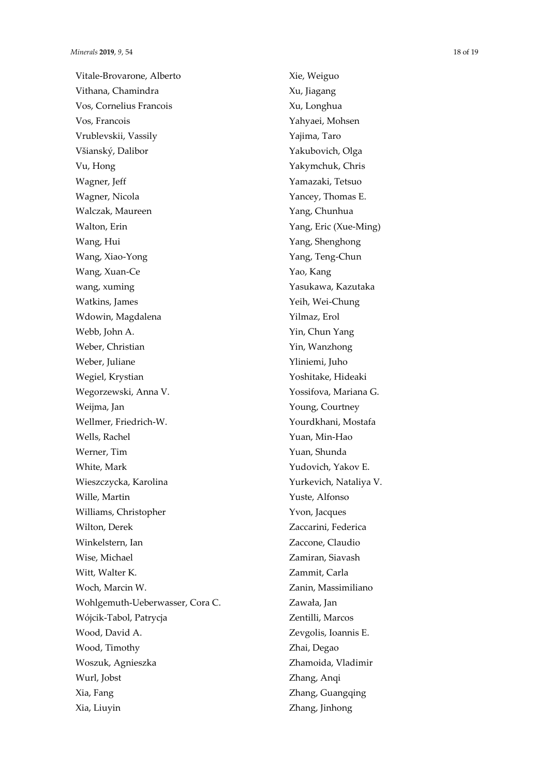Vitale-Brovarone, Alberto Vithana, Chamindra Vos, Cornelius Francois Vos, Francois Vrublevskii, Vassily Všianský, Dalibor Vu, Hong Wagner, Jeff Wagner, Nicola Walczak, Maureen Walton, Erin Wang, Hui Wang, Xiao-Yong Wang, Xuan-Ce wang, xuming Watkins, James Wdowin, Magdalena Webb, John A. Weber, Christian Weber, Juliane Wegiel, Krystian Wegorzewski, Anna V. Weijma, Jan Wellmer, Friedrich-W. Wells, Rachel Werner, Tim White, Mark Wieszczycka, Karolina Wille, Martin Williams, Christopher Wilton, Derek Winkelstern, Ian Wise, Michael Witt, Walter K. Woch, Marcin W. Wohlgemuth-Ueberwasser, Cora C. Wójcik-Tabol, Patrycja Wood, David A. Wood, Timothy Woszuk, Agnieszka Wurl, Jobst Xia, Fang Xia, Liuyin

Xie, Weiguo Xu, Jiagang Xu, Longhua Yahyaei, Mohsen Yajima, Taro Yakubovich, Olga Yakymchuk, Chris Yamazaki, Tetsuo Yancey, Thomas E. Yang, Chunhua Yang, Eric (Xue-Ming) Yang, Shenghong Yang, Teng-Chun Yao, Kang Yasukawa, Kazutaka Yeih, Wei-Chung Yilmaz, Erol Yin, Chun Yang Yin, Wanzhong Yliniemi, Juho Yoshitake, Hideaki Yossifova, Mariana G. Young, Courtney Yourdkhani, Mostafa Yuan, Min-Hao Yuan, Shunda Yudovich, Yakov E. Yurkevich, Nataliya V. Yuste, Alfonso Yvon, Jacques Zaccarini, Federica Zaccone, Claudio Zamiran, Siavash Zammit, Carla Zanin, Massimiliano Zawała, Jan Zentilli, Marcos Zevgolis, Ioannis E. Zhai, Degao Zhamoida, Vladimir Zhang, Anqi Zhang, Guangqing Zhang, Jinhong